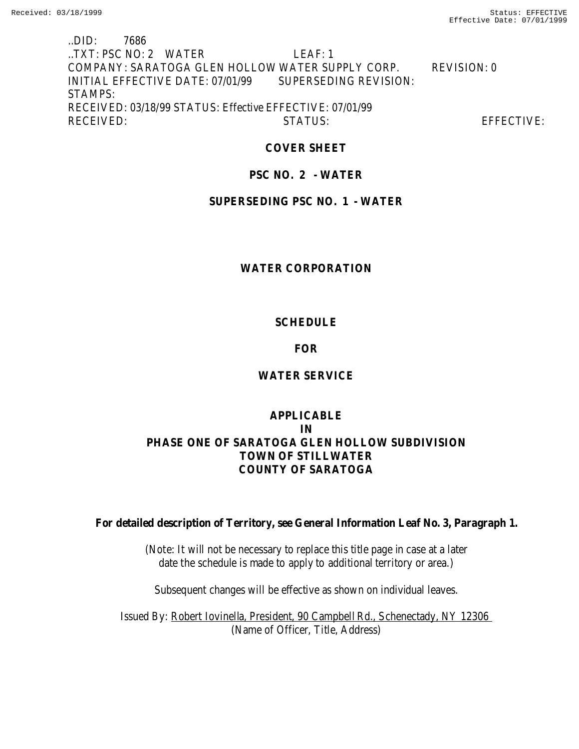# ..DID: 7686 ..TXT: PSC NO: 2 WATER LEAF: 1 COMPANY: SARATOGA GLEN HOLLOW WATER SUPPLY CORP. REVISION: 0 INITIAL EFFECTIVE DATE: 07/01/99 SUPERSEDING REVISION: STAMPS: RECEIVED: 03/18/99 STATUS: Effective EFFECTIVE: 07/01/99 RECEIVED: STATUS: EFFECTIVE:

## **COVER SHEET**

# **PSC NO. 2 - WATER**

## **SUPERSEDING PSC NO. 1 - WATER**

# **WATER CORPORATION**

# **SCHEDULE**

# **FOR**

# **WATER SERVICE**

# **APPLICABLE IN PHASE ONE OF SARATOGA GLEN HOLLOW SUBDIVISION TOWN OF STILLWATER COUNTY OF SARATOGA**

**For detailed description of Territory, see General Information Leaf No. 3, Paragraph 1.**

(Note: It will not be necessary to replace this title page in case at a later date the schedule is made to apply to additional territory or area.)

Subsequent changes will be effective as shown on individual leaves.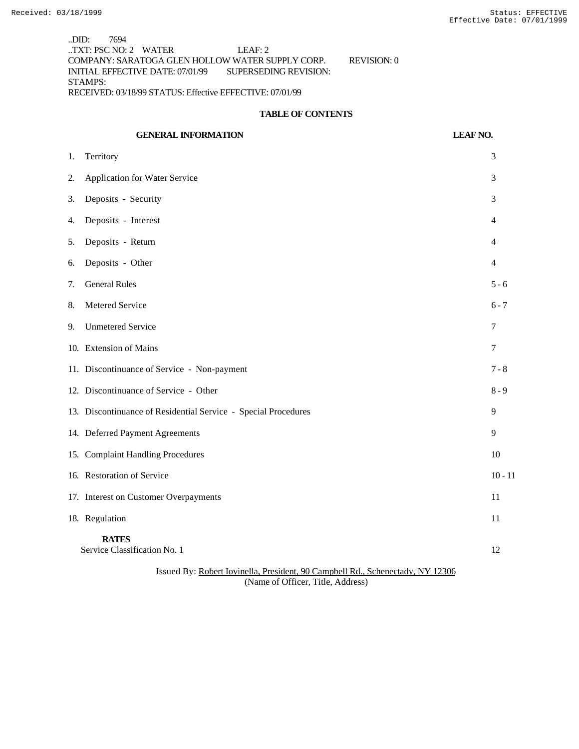..DID: 7694 ..TXT: PSC NO: 2 WATER LEAF: 2 COMPANY: SARATOGA GLEN HOLLOW WATER SUPPLY CORP. REVISION: 0 INITIAL EFFECTIVE DATE: 07/01/99 SUPERSEDING REVISION: STAMPS: RECEIVED: 03/18/99 STATUS: Effective EFFECTIVE: 07/01/99

#### **TABLE OF CONTENTS**

# **GENERAL INFORMATION LEAF NO.** 1. Territory 3 2. Application for Water Service 3 3. Deposits - Security 3 4. Deposits - Interest 4 5. Deposits - Return 4 6. Deposits - Other 4 7. General Rules 5 - 6 8. Metered Service 6 - 7 9. Unmetered Service 7 10. Extension of Mains 7 11. Discontinuance of Service - Non-payment 7 - 8 12. Discontinuance of Service - Other 8 - 9 13. Discontinuance of Residential Service - Special Procedures 9 14. Deferred Payment Agreements 9 15. Complaint Handling Procedures 10 16. Restoration of Service 10 - 11 17. Interest on Customer Overpayments 11 18. Regulation 11 **RATES** Service Classification No. 1 12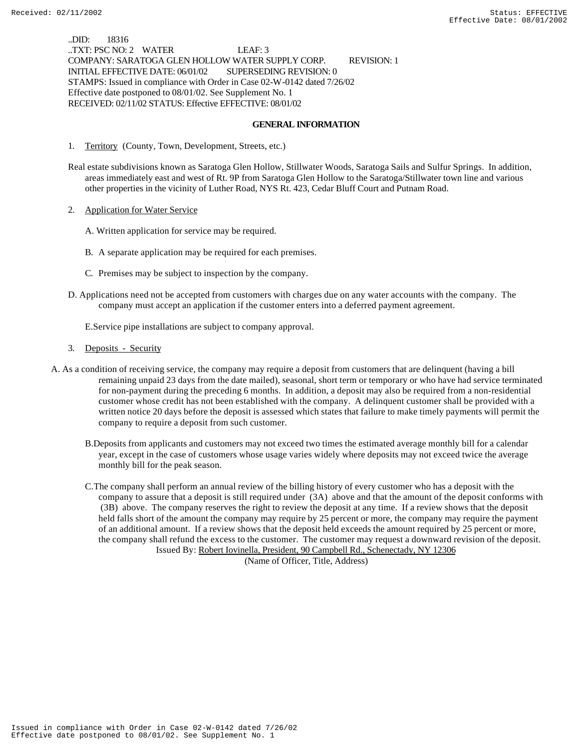..DID: 18316 ..TXT: PSC NO: 2 WATER LEAF: 3 COMPANY: SARATOGA GLEN HOLLOW WATER SUPPLY CORP. REVISION: 1 INITIAL EFFECTIVE DATE: 06/01/02 SUPERSEDING REVISION: 0 STAMPS: Issued in compliance with Order in Case 02-W-0142 dated 7/26/02 Effective date postponed to 08/01/02. See Supplement No. 1 RECEIVED: 02/11/02 STATUS: Effective EFFECTIVE: 08/01/02

#### **GENERAL INFORMATION**

- 1. Territory (County, Town, Development, Streets, etc.)
- Real estate subdivisions known as Saratoga Glen Hollow, Stillwater Woods, Saratoga Sails and Sulfur Springs. In addition, areas immediately east and west of Rt. 9P from Saratoga Glen Hollow to the Saratoga/Stillwater town line and various other properties in the vicinity of Luther Road, NYS Rt. 423, Cedar Bluff Court and Putnam Road.
- 2. Application for Water Service
	- A. Written application for service may be required.
	- B. A separate application may be required for each premises.
	- C. Premises may be subject to inspection by the company.
- D. Applications need not be accepted from customers with charges due on any water accounts with the company. The company must accept an application if the customer enters into a deferred payment agreement.

E.Service pipe installations are subject to company approval.

- 3. Deposits Security
- A. As a condition of receiving service, the company may require a deposit from customers that are delinquent (having a bill remaining unpaid 23 days from the date mailed), seasonal, short term or temporary or who have had service terminated for non-payment during the preceding 6 months. In addition, a deposit may also be required from a non-residential customer whose credit has not been established with the company. A delinquent customer shall be provided with a written notice 20 days before the deposit is assessed which states that failure to make timely payments will permit the company to require a deposit from such customer.
	- B.Deposits from applicants and customers may not exceed two times the estimated average monthly bill for a calendar year, except in the case of customers whose usage varies widely where deposits may not exceed twice the average monthly bill for the peak season.
	- C.The company shall perform an annual review of the billing history of every customer who has a deposit with the company to assure that a deposit is still required under (3A) above and that the amount of the deposit conforms with (3B) above. The company reserves the right to review the deposit at any time. If a review shows that the deposit held falls short of the amount the company may require by 25 percent or more, the company may require the payment of an additional amount. If a review shows that the deposit held exceeds the amount required by 25 percent or more, the company shall refund the excess to the customer. The customer may request a downward revision of the deposit. Issued By: Robert Iovinella, President, 90 Campbell Rd., Schenectady, NY 12306

(Name of Officer, Title, Address)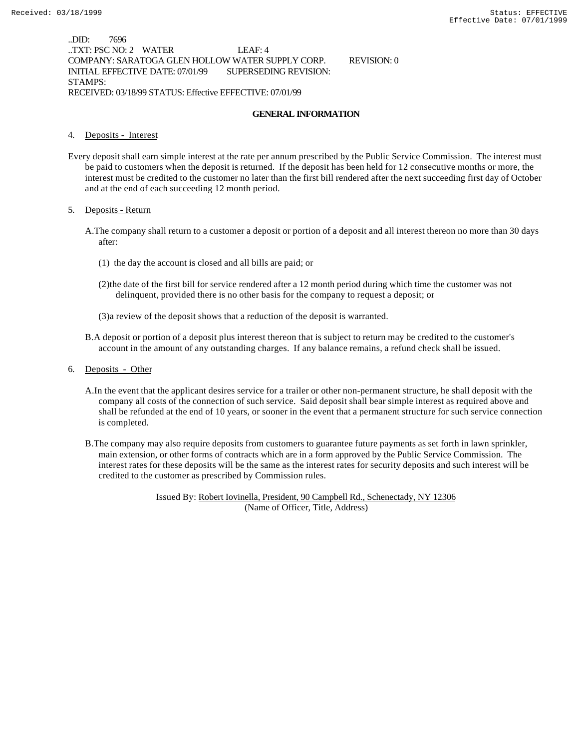..DID: 7696 ..TXT: PSC NO: 2 WATER LEAF: 4 COMPANY: SARATOGA GLEN HOLLOW WATER SUPPLY CORP. REVISION: 0 INITIAL EFFECTIVE DATE: 07/01/99 SUPERSEDING REVISION: STAMPS: RECEIVED: 03/18/99 STATUS: Effective EFFECTIVE: 07/01/99

#### **GENERAL INFORMATION**

#### 4. Deposits - Interest

Every deposit shall earn simple interest at the rate per annum prescribed by the Public Service Commission. The interest must be paid to customers when the deposit is returned. If the deposit has been held for 12 consecutive months or more, the interest must be credited to the customer no later than the first bill rendered after the next succeeding first day of October and at the end of each succeeding 12 month period.

#### 5. Deposits - Return

- A.The company shall return to a customer a deposit or portion of a deposit and all interest thereon no more than 30 days after:
	- (1) the day the account is closed and all bills are paid; or
	- (2)the date of the first bill for service rendered after a 12 month period during which time the customer was not delinquent, provided there is no other basis for the company to request a deposit; or
	- (3)a review of the deposit shows that a reduction of the deposit is warranted.
- B.A deposit or portion of a deposit plus interest thereon that is subject to return may be credited to the customer's account in the amount of any outstanding charges. If any balance remains, a refund check shall be issued.
- 6. Deposits Other
	- A.In the event that the applicant desires service for a trailer or other non-permanent structure, he shall deposit with the company all costs of the connection of such service. Said deposit shall bear simple interest as required above and shall be refunded at the end of 10 years, or sooner in the event that a permanent structure for such service connection is completed.
	- B.The company may also require deposits from customers to guarantee future payments as set forth in lawn sprinkler, main extension, or other forms of contracts which are in a form approved by the Public Service Commission. The interest rates for these deposits will be the same as the interest rates for security deposits and such interest will be credited to the customer as prescribed by Commission rules.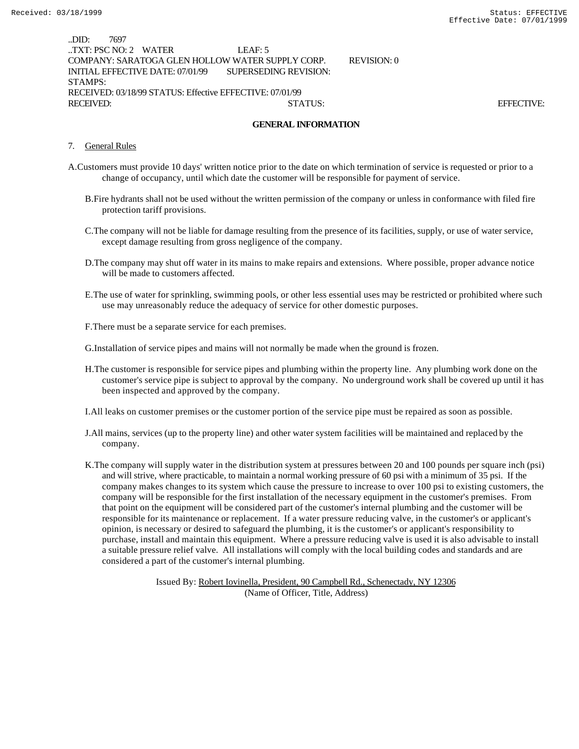| .DID:<br>7697        |                                                          |                                                  |             |                   |
|----------------------|----------------------------------------------------------|--------------------------------------------------|-------------|-------------------|
| TXT: PSC NO: 2 WATER |                                                          | $LEAF-5$                                         |             |                   |
|                      |                                                          | COMPANY: SARATOGA GLEN HOLLOW WATER SUPPLY CORP. | REVISION: 0 |                   |
|                      | INITIAL EFFECTIVE DATE: 07/01/99                         | SUPERSEDING REVISION:                            |             |                   |
| STAMPS:              |                                                          |                                                  |             |                   |
|                      | RECEIVED: 03/18/99 STATUS: Effective EFFECTIVE: 07/01/99 |                                                  |             |                   |
| RECEIVED:            |                                                          | STATUS:                                          |             | <b>EFFECTIVE:</b> |
|                      |                                                          |                                                  |             |                   |

#### **GENERAL INFORMATION**

- 7. General Rules
- A.Customers must provide 10 days' written notice prior to the date on which termination of service is requested or prior to a change of occupancy, until which date the customer will be responsible for payment of service.
	- B.Fire hydrants shall not be used without the written permission of the company or unless in conformance with filed fire protection tariff provisions.
	- C.The company will not be liable for damage resulting from the presence of its facilities, supply, or use of water service, except damage resulting from gross negligence of the company.
	- D.The company may shut off water in its mains to make repairs and extensions. Where possible, proper advance notice will be made to customers affected.
	- E.The use of water for sprinkling, swimming pools, or other less essential uses may be restricted or prohibited where such use may unreasonably reduce the adequacy of service for other domestic purposes.
	- F.There must be a separate service for each premises.

G.Installation of service pipes and mains will not normally be made when the ground is frozen.

H.The customer is responsible for service pipes and plumbing within the property line. Any plumbing work done on the customer's service pipe is subject to approval by the company. No underground work shall be covered up until it has been inspected and approved by the company.

I.All leaks on customer premises or the customer portion of the service pipe must be repaired as soon as possible.

- J.All mains, services (up to the property line) and other water system facilities will be maintained and replaced by the company.
- K.The company will supply water in the distribution system at pressures between 20 and 100 pounds per square inch (psi) and will strive, where practicable, to maintain a normal working pressure of 60 psi with a minimum of 35 psi. If the company makes changes to its system which cause the pressure to increase to over 100 psi to existing customers, the company will be responsible for the first installation of the necessary equipment in the customer's premises. From that point on the equipment will be considered part of the customer's internal plumbing and the customer will be responsible for its maintenance or replacement. If a water pressure reducing valve, in the customer's or applicant's opinion, is necessary or desired to safeguard the plumbing, it is the customer's or applicant's responsibility to purchase, install and maintain this equipment. Where a pressure reducing valve is used it is also advisable to install a suitable pressure relief valve. All installations will comply with the local building codes and standards and are considered a part of the customer's internal plumbing.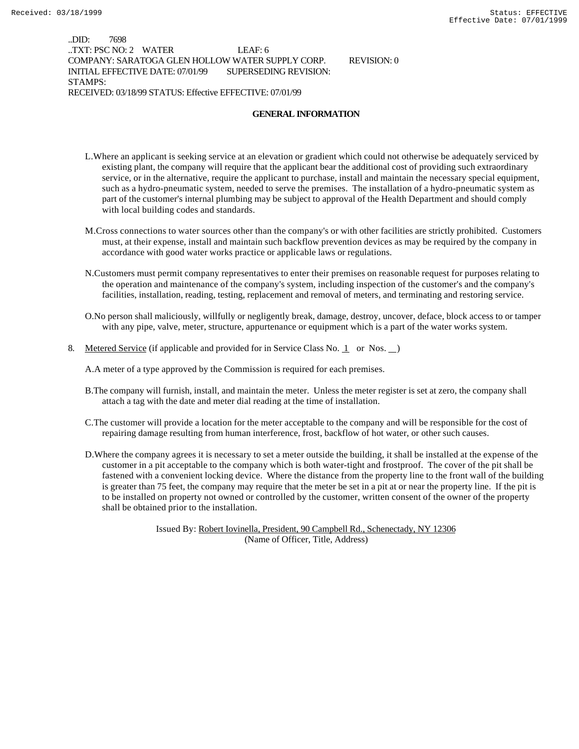..DID: 7698 ..TXT: PSC NO: 2 WATER LEAF: 6 COMPANY: SARATOGA GLEN HOLLOW WATER SUPPLY CORP. REVISION: 0 INITIAL EFFECTIVE DATE: 07/01/99 SUPERSEDING REVISION: STAMPS: RECEIVED: 03/18/99 STATUS: Effective EFFECTIVE: 07/01/99

**GENERAL INFORMATION**

- L.Where an applicant is seeking service at an elevation or gradient which could not otherwise be adequately serviced by existing plant, the company will require that the applicant bear the additional cost of providing such extraordinary service, or in the alternative, require the applicant to purchase, install and maintain the necessary special equipment, such as a hydro-pneumatic system, needed to serve the premises. The installation of a hydro-pneumatic system as part of the customer's internal plumbing may be subject to approval of the Health Department and should comply with local building codes and standards.
- M.Cross connections to water sources other than the company's or with other facilities are strictly prohibited. Customers must, at their expense, install and maintain such backflow prevention devices as may be required by the company in accordance with good water works practice or applicable laws or regulations.
- N.Customers must permit company representatives to enter their premises on reasonable request for purposes relating to the operation and maintenance of the company's system, including inspection of the customer's and the company's facilities, installation, reading, testing, replacement and removal of meters, and terminating and restoring service.
- O.No person shall maliciously, willfully or negligently break, damage, destroy, uncover, deface, block access to or tamper with any pipe, valve, meter, structure, appurtenance or equipment which is a part of the water works system.
- 8. Metered Service (if applicable and provided for in Service Class No. 1 or Nos.  $\Box$ )

A.A meter of a type approved by the Commission is required for each premises.

- B.The company will furnish, install, and maintain the meter. Unless the meter register is set at zero, the company shall attach a tag with the date and meter dial reading at the time of installation.
- C.The customer will provide a location for the meter acceptable to the company and will be responsible for the cost of repairing damage resulting from human interference, frost, backflow of hot water, or other such causes.
- D.Where the company agrees it is necessary to set a meter outside the building, it shall be installed at the expense of the customer in a pit acceptable to the company which is both water-tight and frostproof. The cover of the pit shall be fastened with a convenient locking device. Where the distance from the property line to the front wall of the building is greater than 75 feet, the company may require that the meter be set in a pit at or near the property line. If the pit is to be installed on property not owned or controlled by the customer, written consent of the owner of the property shall be obtained prior to the installation.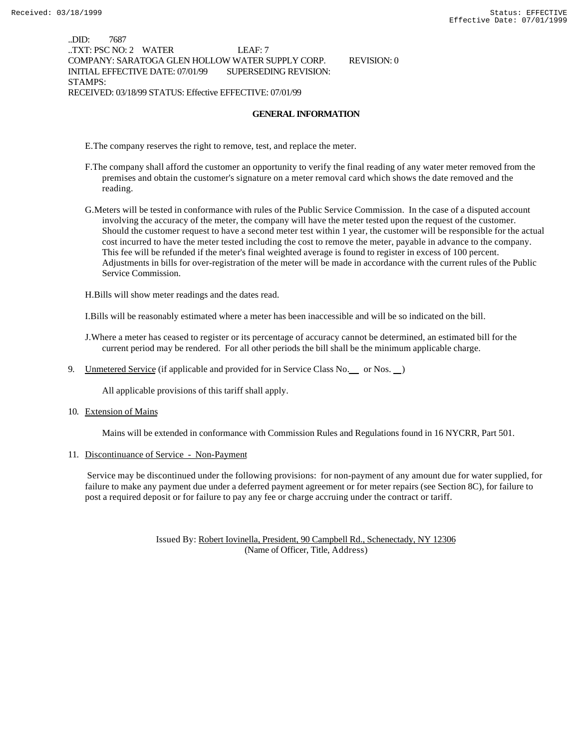..DID: 7687 ..TXT: PSC NO: 2 WATER LEAF: 7 COMPANY: SARATOGA GLEN HOLLOW WATER SUPPLY CORP. REVISION: 0 INITIAL EFFECTIVE DATE: 07/01/99 SUPERSEDING REVISION: STAMPS: RECEIVED: 03/18/99 STATUS: Effective EFFECTIVE: 07/01/99

#### **GENERAL INFORMATION**

E.The company reserves the right to remove, test, and replace the meter.

- F.The company shall afford the customer an opportunity to verify the final reading of any water meter removed from the premises and obtain the customer's signature on a meter removal card which shows the date removed and the reading.
- G.Meters will be tested in conformance with rules of the Public Service Commission. In the case of a disputed account involving the accuracy of the meter, the company will have the meter tested upon the request of the customer. Should the customer request to have a second meter test within 1 year, the customer will be responsible for the actual cost incurred to have the meter tested including the cost to remove the meter, payable in advance to the company. This fee will be refunded if the meter's final weighted average is found to register in excess of 100 percent. Adjustments in bills for over-registration of the meter will be made in accordance with the current rules of the Public Service Commission.

H.Bills will show meter readings and the dates read.

I.Bills will be reasonably estimated where a meter has been inaccessible and will be so indicated on the bill.

J.Where a meter has ceased to register or its percentage of accuracy cannot be determined, an estimated bill for the current period may be rendered. For all other periods the bill shall be the minimum applicable charge.

9. Unmetered Service (if applicable and provided for in Service Class No. \_\_ or Nos. \_\_)

All applicable provisions of this tariff shall apply.

10. Extension of Mains

Mains will be extended in conformance with Commission Rules and Regulations found in 16 NYCRR, Part 501.

11. Discontinuance of Service - Non-Payment

 Service may be discontinued under the following provisions: for non-payment of any amount due for water supplied, for failure to make any payment due under a deferred payment agreement or for meter repairs (see Section 8C), for failure to post a required deposit or for failure to pay any fee or charge accruing under the contract or tariff.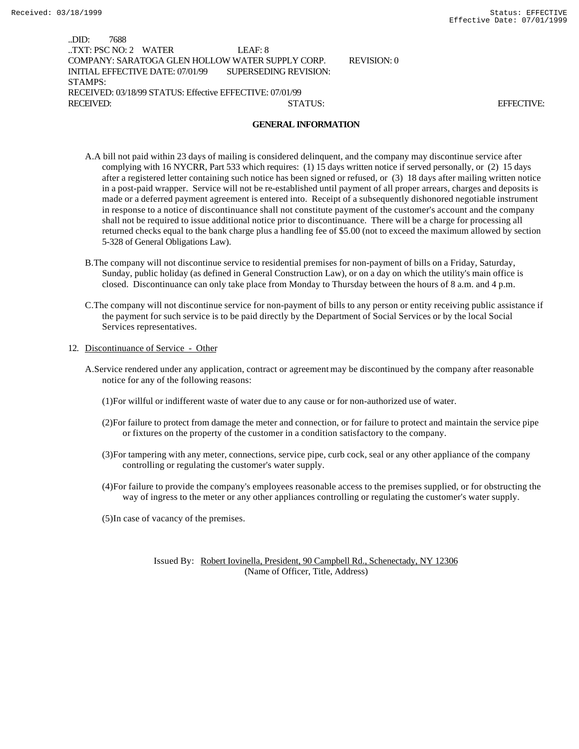| .DID:            | 7688                                                     |                                                  |             |                   |
|------------------|----------------------------------------------------------|--------------------------------------------------|-------------|-------------------|
|                  | TXT: PSC NO: 2 WATER                                     | LEAF: 8                                          |             |                   |
|                  |                                                          | COMPANY: SARATOGA GLEN HOLLOW WATER SUPPLY CORP. | REVISION: 0 |                   |
|                  | INITIAL EFFECTIVE DATE: 07/01/99                         | SUPERSEDING REVISION:                            |             |                   |
| STAMPS:          |                                                          |                                                  |             |                   |
|                  | RECEIVED: 03/18/99 STATUS: Effective EFFECTIVE: 07/01/99 |                                                  |             |                   |
| <b>RECEIVED:</b> |                                                          | STATUS:                                          |             | <b>EFFECTIVE:</b> |
|                  |                                                          |                                                  |             |                   |

#### **GENERAL INFORMATION**

- A.A bill not paid within 23 days of mailing is considered delinquent, and the company may discontinue service after complying with 16 NYCRR, Part 533 which requires: (1) 15 days written notice if served personally, or (2) 15 days after a registered letter containing such notice has been signed or refused, or (3) 18 days after mailing written notice in a post-paid wrapper. Service will not be re-established until payment of all proper arrears, charges and deposits is made or a deferred payment agreement is entered into. Receipt of a subsequently dishonored negotiable instrument in response to a notice of discontinuance shall not constitute payment of the customer's account and the company shall not be required to issue additional notice prior to discontinuance. There will be a charge for processing all returned checks equal to the bank charge plus a handling fee of \$5.00 (not to exceed the maximum allowed by section 5-328 of General Obligations Law).
- B.The company will not discontinue service to residential premises for non-payment of bills on a Friday, Saturday, Sunday, public holiday (as defined in General Construction Law), or on a day on which the utility's main office is closed. Discontinuance can only take place from Monday to Thursday between the hours of 8 a.m. and 4 p.m.
- C.The company will not discontinue service for non-payment of bills to any person or entity receiving public assistance if the payment for such service is to be paid directly by the Department of Social Services or by the local Social Services representatives.
- 12. Discontinuance of Service Other
	- A.Service rendered under any application, contract or agreement may be discontinued by the company after reasonable notice for any of the following reasons:
		- (1)For willful or indifferent waste of water due to any cause or for non-authorized use of water.
		- (2)For failure to protect from damage the meter and connection, or for failure to protect and maintain the service pipe or fixtures on the property of the customer in a condition satisfactory to the company.
		- (3)For tampering with any meter, connections, service pipe, curb cock, seal or any other appliance of the company controlling or regulating the customer's water supply.
		- (4)For failure to provide the company's employees reasonable access to the premises supplied, or for obstructing the way of ingress to the meter or any other appliances controlling or regulating the customer's water supply.
		- (5)In case of vacancy of the premises.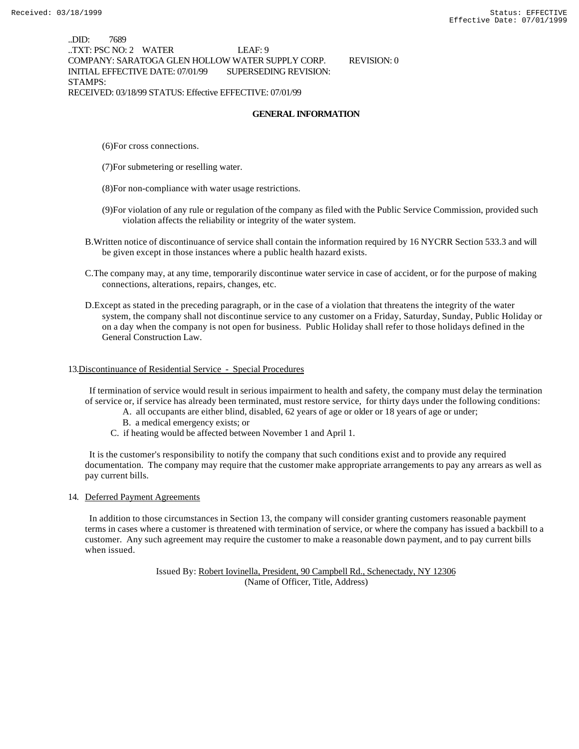..DID: 7689 ..TXT: PSC NO: 2 WATER LEAF: 9 COMPANY: SARATOGA GLEN HOLLOW WATER SUPPLY CORP. REVISION: 0 INITIAL EFFECTIVE DATE: 07/01/99 SUPERSEDING REVISION: STAMPS: RECEIVED: 03/18/99 STATUS: Effective EFFECTIVE: 07/01/99

#### **GENERAL INFORMATION**

- (6)For cross connections.
- (7)For submetering or reselling water.
- (8)For non-compliance with water usage restrictions.
- (9)For violation of any rule or regulation of the company as filed with the Public Service Commission, provided such violation affects the reliability or integrity of the water system.
- B.Written notice of discontinuance of service shall contain the information required by 16 NYCRR Section 533.3 and will be given except in those instances where a public health hazard exists.
- C.The company may, at any time, temporarily discontinue water service in case of accident, or for the purpose of making connections, alterations, repairs, changes, etc.
- D.Except as stated in the preceding paragraph, or in the case of a violation that threatens the integrity of the water system, the company shall not discontinue service to any customer on a Friday, Saturday, Sunday, Public Holiday or on a day when the company is not open for business. Public Holiday shall refer to those holidays defined in the General Construction Law.

#### 13.Discontinuance of Residential Service - Special Procedures

 If termination of service would result in serious impairment to health and safety, the company must delay the termination of service or, if service has already been terminated, must restore service, for thirty days under the following conditions:

- A. all occupants are either blind, disabled, 62 years of age or older or 18 years of age or under;
- B. a medical emergency exists; or
- C. if heating would be affected between November 1 and April 1.

 It is the customer's responsibility to notify the company that such conditions exist and to provide any required documentation. The company may require that the customer make appropriate arrangements to pay any arrears as well as pay current bills.

#### 14. Deferred Payment Agreements

 In addition to those circumstances in Section 13, the company will consider granting customers reasonable payment terms in cases where a customer is threatened with termination of service, or where the company has issued a backbill to a customer. Any such agreement may require the customer to make a reasonable down payment, and to pay current bills when issued.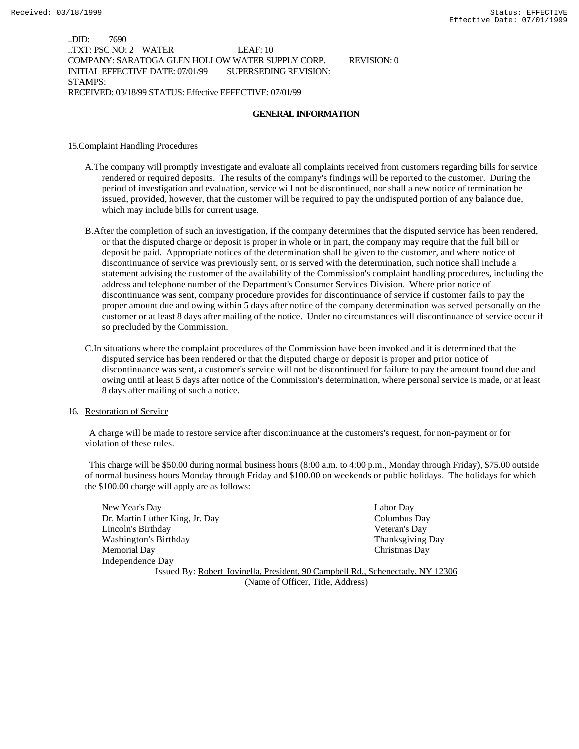..DID: 7690 ..TXT: PSC NO: 2 WATER LEAF: 10 COMPANY: SARATOGA GLEN HOLLOW WATER SUPPLY CORP. REVISION: 0 INITIAL EFFECTIVE DATE: 07/01/99 SUPERSEDING REVISION: STAMPS: RECEIVED: 03/18/99 STATUS: Effective EFFECTIVE: 07/01/99

#### **GENERAL INFORMATION**

#### 15.Complaint Handling Procedures

- A.The company will promptly investigate and evaluate all complaints received from customers regarding bills for service rendered or required deposits. The results of the company's findings will be reported to the customer. During the period of investigation and evaluation, service will not be discontinued, nor shall a new notice of termination be issued, provided, however, that the customer will be required to pay the undisputed portion of any balance due, which may include bills for current usage.
- B.After the completion of such an investigation, if the company determines that the disputed service has been rendered, or that the disputed charge or deposit is proper in whole or in part, the company may require that the full bill or deposit be paid. Appropriate notices of the determination shall be given to the customer, and where notice of discontinuance of service was previously sent, or is served with the determination, such notice shall include a statement advising the customer of the availability of the Commission's complaint handling procedures, including the address and telephone number of the Department's Consumer Services Division. Where prior notice of discontinuance was sent, company procedure provides for discontinuance of service if customer fails to pay the proper amount due and owing within 5 days after notice of the company determination was served personally on the customer or at least 8 days after mailing of the notice. Under no circumstances will discontinuance of service occur if so precluded by the Commission.
- C.In situations where the complaint procedures of the Commission have been invoked and it is determined that the disputed service has been rendered or that the disputed charge or deposit is proper and prior notice of discontinuance was sent, a customer's service will not be discontinued for failure to pay the amount found due and owing until at least 5 days after notice of the Commission's determination, where personal service is made, or at least 8 days after mailing of such a notice.

#### 16. Restoration of Service

 A charge will be made to restore service after discontinuance at the customers's request, for non-payment or for violation of these rules.

 This charge will be \$50.00 during normal business hours (8:00 a.m. to 4:00 p.m., Monday through Friday), \$75.00 outside of normal business hours Monday through Friday and \$100.00 on weekends or public holidays. The holidays for which the \$100.00 charge will apply are as follows:

New Year's Day Labor Day Dr. Martin Luther King, Jr. Day Columbus Day Lincoln's Birthday Veteran's Day Washington's Birthday **Thanksgiving Day** Thanksgiving Day Memorial Day Christmas Day Independence Day Issued By: Robert Iovinella, President, 90 Campbell Rd., Schenectady, NY 12306

(Name of Officer, Title, Address)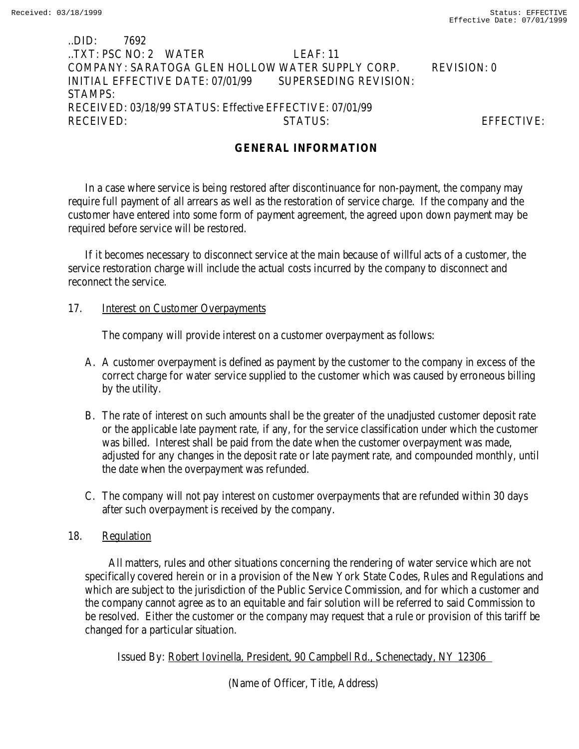# ..DID: 7692 ..TXT: PSC NO: 2 WATER LEAF: 11 COMPANY: SARATOGA GLEN HOLLOW WATER SUPPLY CORP. REVISION: 0 INITIAL EFFECTIVE DATE: 07/01/99 SUPERSEDING REVISION: STAMPS: RECEIVED: 03/18/99 STATUS: Effective EFFECTIVE: 07/01/99 RECEIVED: STATUS: EFFECTIVE:

# **GENERAL INFORMATION**

In a case where service is being restored after discontinuance for non-payment, the company may require full payment of all arrears as well as the restoration of service charge. If the company and the customer have entered into some form of payment agreement, the agreed upon down payment may be required before service will be restored.

If it becomes necessary to disconnect service at the main because of willful acts of a customer, the service restoration charge will include the actual costs incurred by the company to disconnect and reconnect the service.

## 17. **Interest on Customer Overpayments**

The company will provide interest on a customer overpayment as follows:

- A. A customer overpayment is defined as payment by the customer to the company in excess of the correct charge for water service supplied to the customer which was caused by erroneous billing by the utility.
- B. The rate of interest on such amounts shall be the greater of the unadjusted customer deposit rate or the applicable late payment rate, if any, for the service classification under which the customer was billed. Interest shall be paid from the date when the customer overpayment was made, adjusted for any changes in the deposit rate or late payment rate, and compounded monthly, until the date when the overpayment was refunded.
- C. The company will not pay interest on customer overpayments that are refunded within 30 days after such overpayment is received by the company.

## 18. Regulation

 All matters, rules and other situations concerning the rendering of water service which are not specifically covered herein or in a provision of the New York State Codes, Rules and Regulations and which are subject to the jurisdiction of the Public Service Commission, and for which a customer and the company cannot agree as to an equitable and fair solution will be referred to said Commission to be resolved. Either the customer or the company may request that a rule or provision of this tariff be changed for a particular situation.

Issued By: Robert Iovinella, President, 90 Campbell Rd., Schenectady, NY 12306

(Name of Officer, Title, Address)